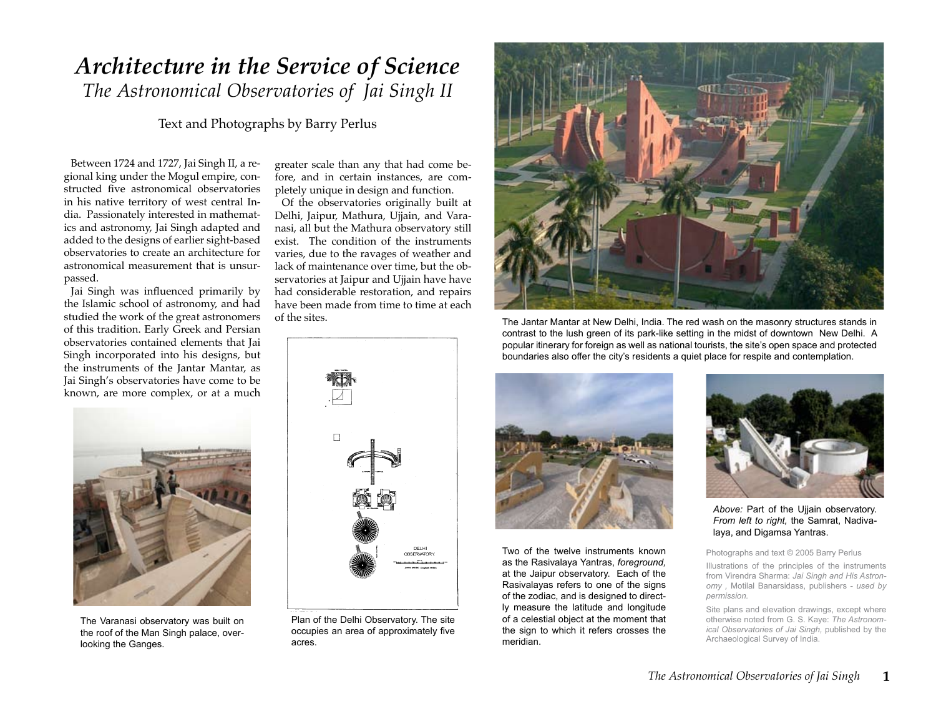# *Architecture in the Service of Science The Astronomical Observatories of Jai Singh II*

Text and Photographs by Barry Perlus

Between 1724 and 1727, Jai Singh II, a regional king under the Mogul empire, constructed five astronomical observatories in his native territory of west central India. Passionately interested in mathematics and astronomy, Jai Singh adapted and added to the designs of earlier sight-based observatories to create an architecture for astronomical measurement that is unsurpassed.

Jai Singh was influenced primarily by the Islamic school of astronomy, and had studied the work of the great astronomers of this tradition. Early Greek and Persian observatories contained elements that Jai Singh incorporated into his designs, but the instruments of the Jantar Mantar, as Jai Singh's observatories have come to be known, are more complex, or at a much greater scale than any that had come before, and in certain instances, are completely unique in design and function.

Of the observatories originally built at Delhi, Jaipur, Mathura, Ujjain, and Varanasi, all but the Mathura observatory still exist. The condition of the instruments varies, due to the ravages of weather and lack of maintenance over time, but the observatories at Jaipur and Ujjain have have had considerable restoration, and repairs have been made from time to time at each of the sites.



The Jantar Mantar at New Delhi, India. The red wash on the masonry structures stands in contrast to the lush green of its park-like setting in the midst of downtown New Delhi. A popular itinerary for foreign as well as national tourists, the site's open space and protected boundaries also offer the city's residents a quiet place for respite and contemplation.



The Varanasi observatory was built on the roof of the Man Singh palace, overlooking the Ganges.



Plan of the Delhi Observatory. The site occupies an area of approximately five acres.



Two of the twelve instruments known as the Rasivalaya Yantras, *foreground,*  at the Jaipur observatory. Each of the Rasivalayas refers to one of the signs of the zodiac, and is designed to directly measure the latitude and longitude of a celestial object at the moment that the sign to which it refers crosses the meridian.



*Above:* Part of the Ujjain observatory. *From left to right,* the Samrat, Nadivalaya, and Digamsa Yantras.

Photographs and text © 2005 Barry Perlus

Illustrations of the principles of the instruments from Virendra Sharma: *Jai Singh and His Astronomy ,* Motilal Banarsidass, publishers - *used by permission.*

Site plans and elevation drawings, except where otherwise noted from G. S. Kaye: *The Astronomical Observatories of Jai Singh,* published by the Archaeological Survey of India.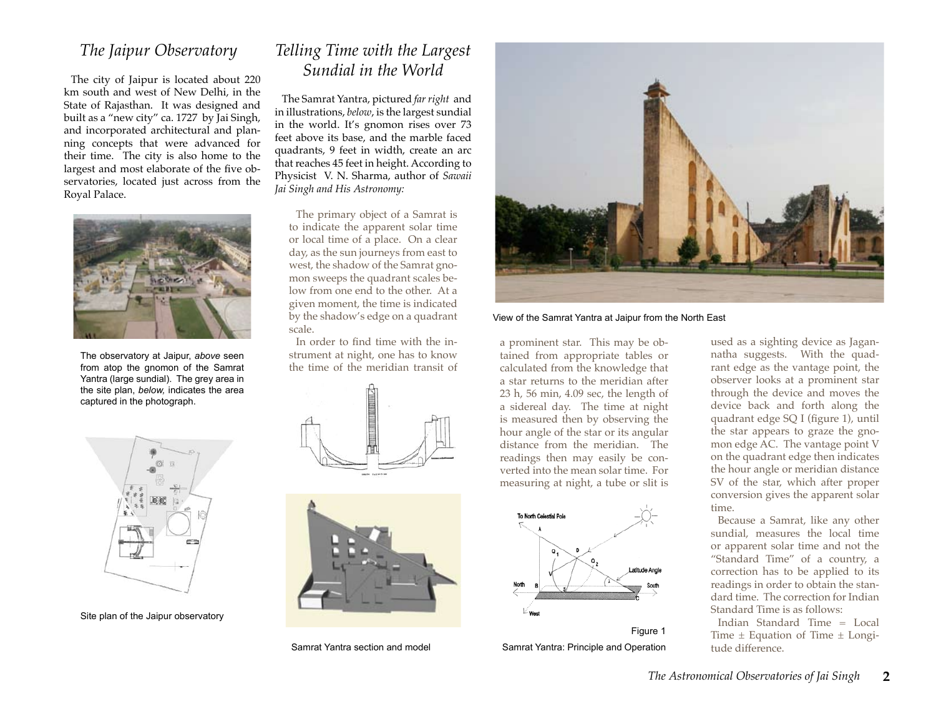## *The Jaipur Observatory*

The city of Jaipur is located about 220 km south and west of New Delhi, in the State of Rajasthan. It was designed and built as a "new city" ca. 1727 by Jai Singh, and incorporated architectural and planning concepts that were advanced for their time. The city is also home to the largest and most elaborate of the five observatories, located just across from the Royal Palace.



The observatory at Jaipur, *above* seen from atop the gnomon of the Samrat Yantra (large sundial). The grey area in the site plan, *below,* indicates the area captured in the photograph.

## *Telling Time with the Largest Sundial in the World*

The Samrat Yantra, pictured *far right* and in illustrations, *below*, is the largest sundial in the world. It's gnomon rises over 73 feet above its base, and the marble faced quadrants, 9 feet in width, create an arc that reaches 45 feet in height. According to Physicist V. N. Sharma, author of *Sawaii Jai Singh and His Astronomy:*

The primary object of a Samrat is to indicate the apparent solar time or local time of a place. On a clear day, as the sun journeys from east to west, the shadow of the Samrat gnomon sweeps the quadrant scales below from one end to the other. At a given moment, the time is indicated by the shadow's edge on a quadrant scale.

In order to find time with the instrument at night, one has to know the time of the meridian transit of





Samrat Yantra section and model



View of the Samrat Yantra at Jaipur from the North East

a prominent star. This may be obtained from appropriate tables or calculated from the knowledge that a star returns to the meridian after 23 h, 56 min, 4.09 sec, the length of a sidereal day. The time at night is measured then by observing the hour angle of the star or its angular distance from the meridian. The readings then may easily be converted into the mean solar time. For measuring at night, a tube or slit is



Figure 1 Samrat Yantra: Principle and Operation used as a sighting device as Jagannatha suggests. With the quadrant edge as the vantage point, the observer looks at a prominent star through the device and moves the device back and forth along the quadrant edge SQ I (figure 1), until the star appears to graze the gnomon edge AC. The vantage point V on the quadrant edge then indicates the hour angle or meridian distance SV of the star, which after proper conversion gives the apparent solar time.

Because a Samrat, like any other sundial, measures the local time or apparent solar time and not the "Standard Time" of a country, a correction has to be applied to its readings in order to obtain the standard time. The correction for Indian Standard Time is as follows:

Indian Standard Time = Local Time  $\pm$  Equation of Time  $\pm$  Longitude difference.



Site plan of the Jaipur observatory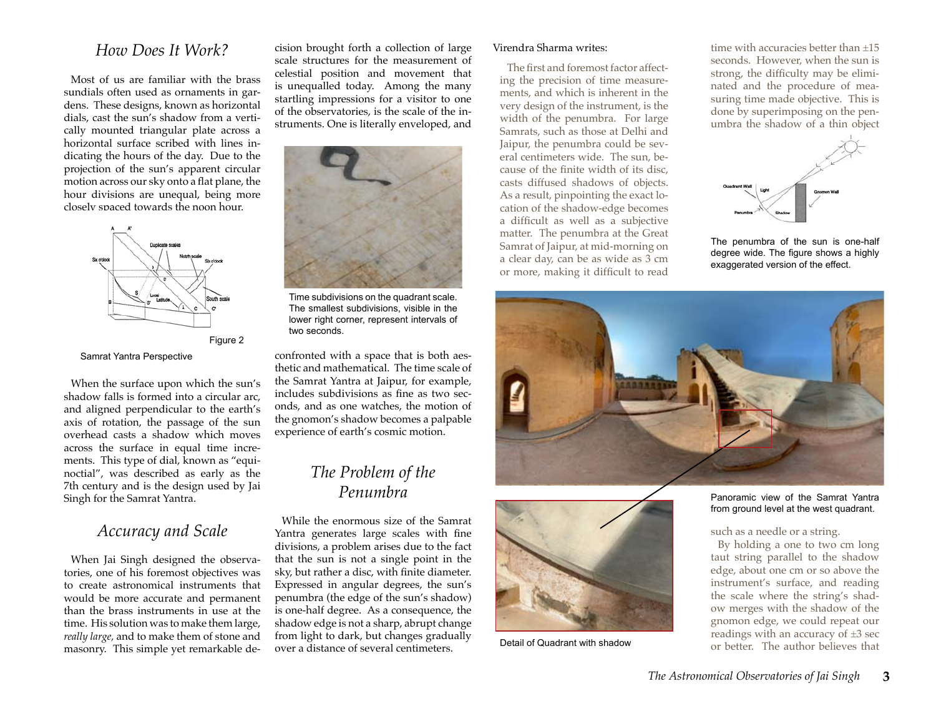#### *How Does It Work?*

Most of us are familiar with the brass sundials often used as ornaments in gardens. These designs, known as horizontal dials, cast the sun's shadow from a vertically mounted triangular plate across a horizontal surface scribed with lines indicating the hours of the day. Due to the projection of the sun's apparent circular motion across our sky onto a flat plane, the hour divisions are unequal, being more closely spaced towards the noon hour.



Figure 2

Samrat Yantra Perspective

When the surface upon which the sun's shadow falls is formed into a circular arc, and aligned perpendicular to the earth's axis of rotation, the passage of the sun overhead casts a shadow which moves across the surface in equal time increments. This type of dial, known as "equinoctial", was described as early as the 7th century and is the design used by Jai Singh for the Samrat Yantra.

## *Accuracy and Scale*

When Jai Singh designed the observatories, one of his foremost objectives was to create astronomical instruments that would be more accurate and permanent than the brass instruments in use at the time. His solution was to make them large, *really large,* and to make them of stone and masonry. This simple yet remarkable decision brought forth a collection of large scale structures for the measurement of celestial position and movement that is unequalled today. Among the many startling impressions for a visitor to one of the observatories, is the scale of the instruments. One is literally enveloped, and



Time subdivisions on the quadrant scale. The smallest subdivisions, visible in the lower right corner, represent intervals of two seconds.

confronted with a space that is both aesthetic and mathematical. The time scale of the Samrat Yantra at Jaipur, for example, includes subdivisions as fine as two seconds, and as one watches, the motion of the gnomon's shadow becomes a palpable experience of earth's cosmic motion.

## *The Problem of the Penumbra*

While the enormous size of the Samrat Yantra generates large scales with fine divisions, a problem arises due to the fact that the sun is not a single point in the sky, but rather a disc, with finite diameter. Expressed in angular degrees, the sun's penumbra (the edge of the sun's shadow) is one-half degree. As a consequence, the shadow edge is not a sharp, abrupt change from light to dark, but changes gradually over a distance of several centimeters.

#### Virendra Sharma writes:

The first and foremost factor affecting the precision of time measurements, and which is inherent in the very design of the instrument, is the width of the penumbra. For large Samrats, such as those at Delhi and Jaipur, the penumbra could be several centimeters wide. The sun, because of the finite width of its disc, casts diffused shadows of objects. As a result, pinpointing the exact location of the shadow-edge becomes a difficult as well as a subjective matter. The penumbra at the Great Samrat of Jaipur, at mid-morning on a clear day, can be as wide as 3 cm or more, making it difficult to read

time with accuracies better than  $+15$ seconds. However, when the sun is strong, the difficulty may be eliminated and the procedure of measuring time made objective. This is done by superimposing on the penumbra the shadow of a thin object



The penumbra of the sun is one-half degree wide. The figure shows a highly exaggerated version of the effect.



Panoramic view of the Samrat Yantra from ground level at the west quadrant.

such as a needle or a string.

By holding a one to two cm long taut string parallel to the shadow edge, about one cm or so above the instrument's surface, and reading the scale where the string's shadow merges with the shadow of the gnomon edge, we could repeat our readings with an accuracy of  $\pm 3$  sec or better. The author believes that



Detail of Quadrant with shadow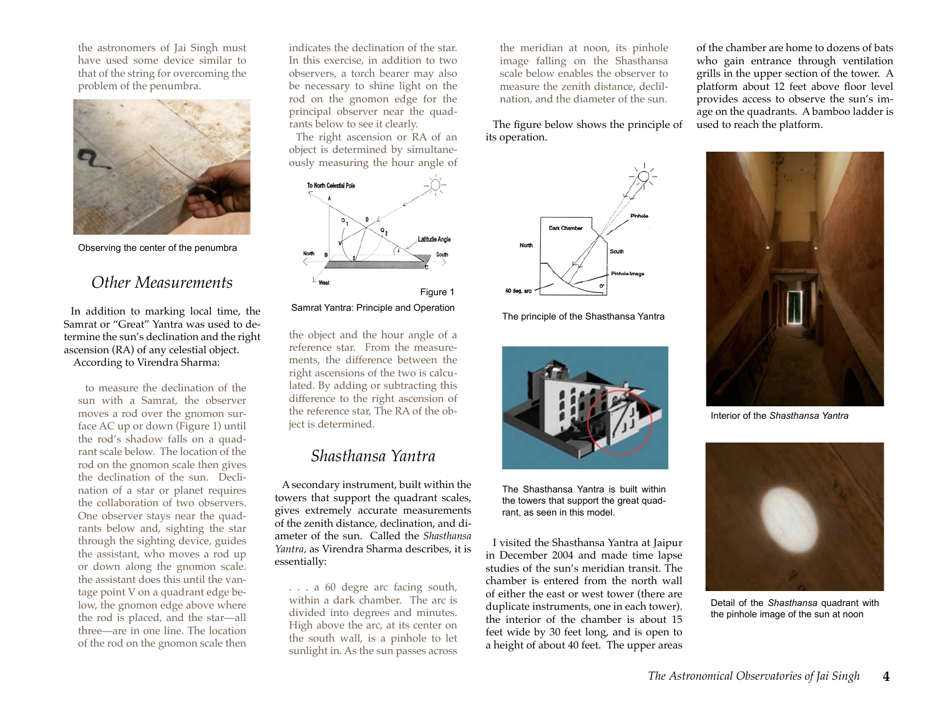the astronomers of Jai Singh must have used some device similar to that of the string for overcoming the problem of the penumbra.



Observing the center of the penumbra

## *Other Measurements*

In addition to marking local time, the Samrat or "Great" Yantra was used to determine the sun's declination and the right ascension (RA) of any celestial object. According to Virendra Sharma:

to measure the declination of the sun with a Samrat, the observer moves a rod over the gnomon surface AC up or down (Figure 1) until the rod's shadow falls on a quadrant scale below. The location of the rod on the gnomon scale then gives the declination of the sun. Declination of a star or planet requires the collaboration of two observers. One observer stays near the quadrants below and, sighting the star through the sighting device, guides the assistant, who moves a rod up or down along the gnomon scale. the assistant does this until the vantage point V on a quadrant edge below, the gnomon edge above where the rod is placed, and the star—all three—are in one line. The location of the rod on the gnomon scale then

indicates the declination of the star. In this exercise, in addition to two observers, a torch bearer may also be necessary to shine light on the rod on the gnomon edge for the principal observer near the quadrants below to see it clearly.

The right ascension or RA of an object is determined by simultaneously measuring the hour angle of



Samrat Yantra: Principle and Operation The principle of the Shasthansa Yantra

the object and the hour angle of a reference star. From the measurements, the difference between the right ascensions of the two is calculated. By adding or subtracting this difference to the right ascension of the reference star, The RA of the object is determined.

## *Shasthansa Yantra*

A secondary instrument, built within the towers that support the quadrant scales, gives extremely accurate measurements of the zenith distance, declination, and diameter of the sun. Called the *Shasthansa Yantra,* as Virendra Sharma describes, it is essentially:

. . . a 60 degre arc facing south, within a dark chamber. The arc is divided into degrees and minutes. High above the arc, at its center on the south wall, is a pinhole to let sunlight in. As the sun passes across

the meridian at noon, its pinhole image falling on the Shasthansa scale below enables the observer to measure the zenith distance, declilnation, and the diameter of the sun.

The figure below shows the principle of its operation.





The Shasthansa Yantra is built within the towers that support the great quadrant, as seen in this model.

I visited the Shasthansa Yantra at Jaipur in December 2004 and made time lapse studies of the sun's meridian transit. The chamber is entered from the north wall of either the east or west tower (there are duplicate instruments, one in each tower). the interior of the chamber is about 15 feet wide by 30 feet long, and is open to a height of about 40 feet. The upper areas of the chamber are home to dozens of bats who gain entrance through ventilation grills in the upper section of the tower. A platform about 12 feet above floor level provides access to observe the sun's image on the quadrants. A bamboo ladder is used to reach the platform.



Interior of the *Shasthansa Yantra*



Detail of the *Shasthansa* quadrant with the pinhole image of the sun at noon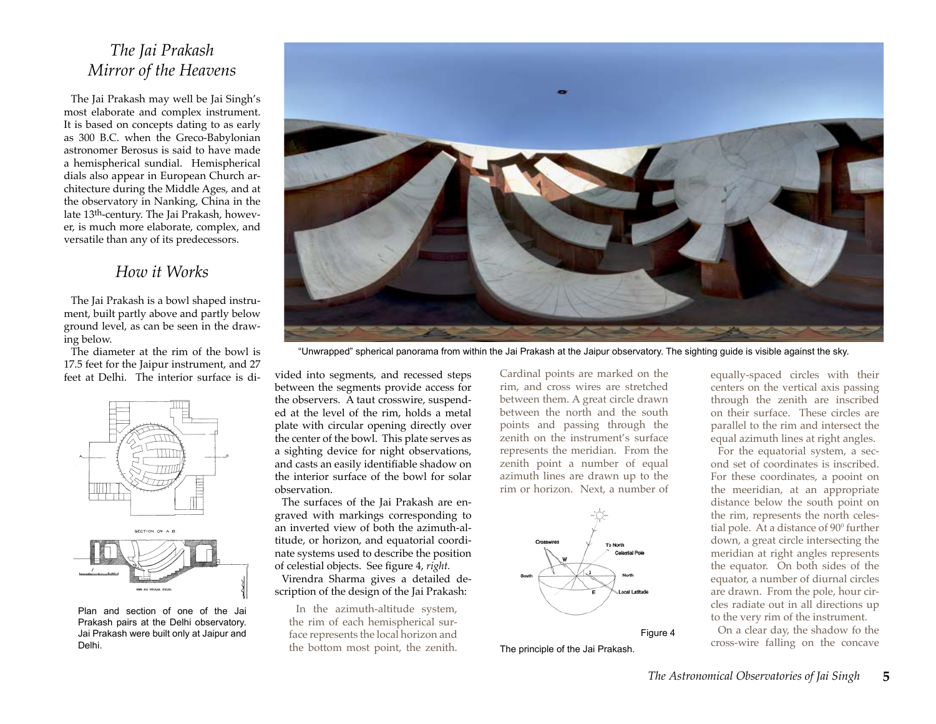## *The Jai Prakash Mirror of the Heavens*

The Jai Prakash may well be Jai Singh's most elaborate and complex instrument. It is based on concepts dating to as early as 300 B.C. when the Greco-Babylonian astronomer Berosus is said to have made a hemispherical sundial. Hemispherical dials also appear in European Church architecture during the Middle Ages, and at the observatory in Nanking, China in the late 13th-century. The Jai Prakash, however, is much more elaborate, complex, and versatile than any of its predecessors.

## *How it Works*

The Jai Prakash is a bowl shaped instrument, built partly above and partly below ground level, as can be seen in the drawing below.

The diameter at the rim of the bowl is 17.5 feet for the Jaipur instrument, and 27 feet at Delhi. The interior surface is di-



Plan and section of one of the Jai Prakash pairs at the Delhi observatory. Jai Prakash were built only at Jaipur and Delhi.



"Unwrapped" spherical panorama from within the Jai Prakash at the Jaipur observatory. The sighting guide is visible against the sky.

vided into segments, and recessed steps between the segments provide access for the observers. A taut crosswire, suspended at the level of the rim, holds a metal plate with circular opening directly over the center of the bowl. This plate serves as a sighting device for night observations, and casts an easily identifiable shadow on the interior surface of the bowl for solar observation.

The surfaces of the Jai Prakash are engraved with markings corresponding to an inverted view of both the azimuth-altitude, or horizon, and equatorial coordinate systems used to describe the position of celestial objects. See figure 4, *right.*

Virendra Sharma gives a detailed description of the design of the Jai Prakash:

In the azimuth-altitude system, the rim of each hemispherical surface represents the local horizon and the bottom most point, the zenith.

Cardinal points are marked on the rim, and cross wires are stretched between them. A great circle drawn between the north and the south points and passing through the zenith on the instrument's surface represents the meridian. From the zenith point a number of equal azimuth lines are drawn up to the rim or horizon. Next, a number of



The principle of the Jai Prakash.

equally-spaced circles with their centers on the vertical axis passing through the zenith are inscribed on their surface. These circles are parallel to the rim and intersect the equal azimuth lines at right angles.

For the equatorial system, a second set of coordinates is inscribed. For these coordinates, a pooint on the meeridian, at an appropriate distance below the south point on the rim, represents the north celestial pole. At a distance of 90<sup>0</sup> further down, a great circle intersecting the meridian at right angles represents the equator. On both sides of the equator, a number of diurnal circles are drawn. From the pole, hour circles radiate out in all directions up to the very rim of the instrument.

On a clear day, the shadow fo the cross-wire falling on the concave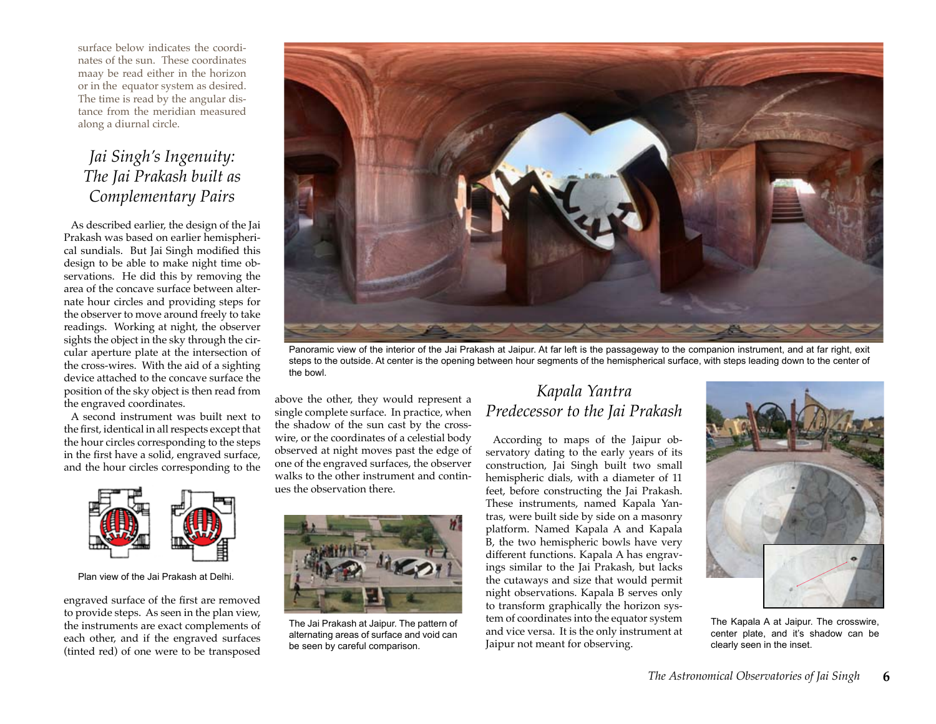surface below indicates the coordinates of the sun. These coordinates maay be read either in the horizon or in the equator system as desired. The time is read by the angular distance from the meridian measured along a diurnal circle.

## *Jai Singh's Ingenuity: The Jai Prakash built as Complementary Pairs*

As described earlier, the design of the Jai Prakash was based on earlier hemispherical sundials. But Jai Singh modified this design to be able to make night time observations. He did this by removing the area of the concave surface between alternate hour circles and providing steps for the observer to move around freely to take readings. Working at night, the observer sights the object in the sky through the circular aperture plate at the intersection of the cross-wires. With the aid of a sighting device attached to the concave surface the position of the sky object is then read from the engraved coordinates.

A second instrument was built next to the first, identical in all respects except that the hour circles corresponding to the steps in the first have a solid, engraved surface, and the hour circles corresponding to the



Plan view of the Jai Prakash at Delhi.

engraved surface of the first are removed to provide steps. As seen in the plan view, the instruments are exact complements of each other, and if the engraved surfaces (tinted red) of one were to be transposed



Panoramic view of the interior of the Jai Prakash at Jaipur. At far left is the passageway to the companion instrument, and at far right, exit steps to the outside. At center is the opening between hour segments of the hemispherical surface, with steps leading down to the center of the bowl.

above the other, they would represent a single complete surface. In practice, when the shadow of the sun cast by the crosswire, or the coordinates of a celestial body observed at night moves past the edge of one of the engraved surfaces, the observer walks to the other instrument and continues the observation there.



The Jai Prakash at Jaipur. The pattern of alternating areas of surface and void can be seen by careful comparison.

## *Kapala Yantra Predecessor to the Jai Prakash*

According to maps of the Jaipur observatory dating to the early years of its construction, Jai Singh built two small hemispheric dials, with a diameter of 11 feet, before constructing the Jai Prakash. These instruments, named Kapala Yantras, were built side by side on a masonry platform. Named Kapala A and Kapala B, the two hemispheric bowls have very different functions. Kapala A has engravings similar to the Jai Prakash, but lacks the cutaways and size that would permit night observations. Kapala B serves only to transform graphically the horizon system of coordinates into the equator system and vice versa. It is the only instrument at Jaipur not meant for observing.



The Kapala A at Jaipur. The crosswire, center plate, and it's shadow can be clearly seen in the inset.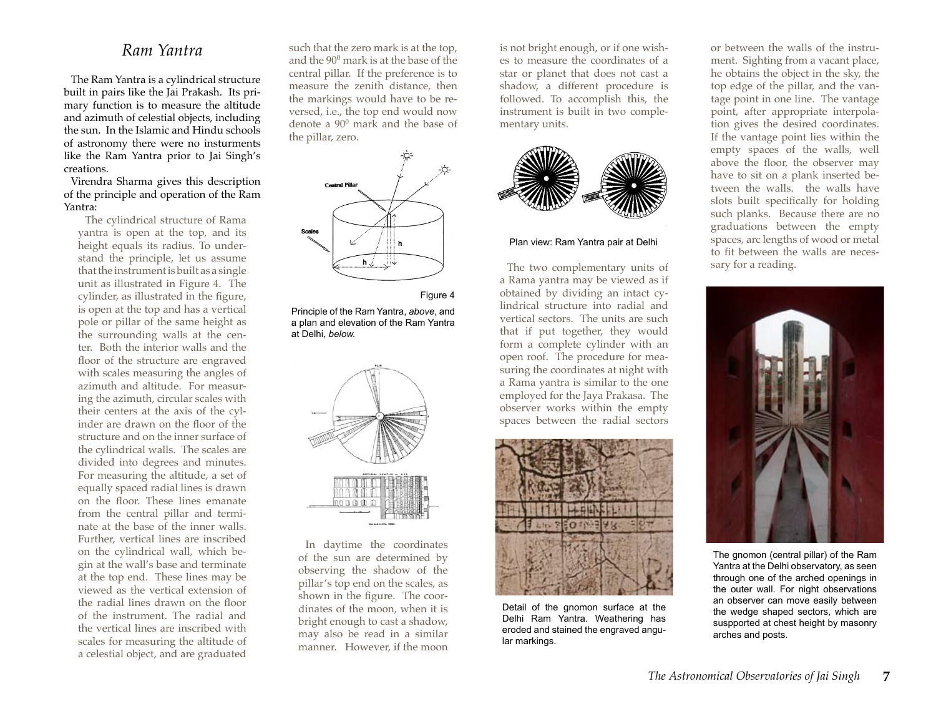## *Ram Yantra*

The Ram Yantra is a cylindrical structure built in pairs like the Jai Prakash. Its primary function is to measure the altitude and azimuth of celestial objects, including the sun. In the Islamic and Hindu schools of astronomy there were no insturments like the Ram Yantra prior to Jai Singh's creations.

Virendra Sharma gives this description of the principle and operation of the Ram Yantra:

The cylindrical structure of Rama yantra is open at the top, and its height equals its radius. To understand the principle, let us assume that the instrument is built as a single unit as illustrated in Figure 4. The cylinder, as illustrated in the figure, is open at the top and has a vertical pole or pillar of the same height as the surrounding walls at the center. Both the interior walls and the floor of the structure are engraved with scales measuring the angles of azimuth and altitude. For measuring the azimuth, circular scales with their centers at the axis of the cylinder are drawn on the floor of the structure and on the inner surface of the cylindrical walls. The scales are divided into degrees and minutes. For measuring the altitude, a set of equally spaced radial lines is drawn on the floor. These lines emanate from the central pillar and terminate at the base of the inner walls. Further, vertical lines are inscribed on the cylindrical wall, which begin at the wall's base and terminate at the top end. These lines may be viewed as the vertical extension of the radial lines drawn on the floor of the instrument. The radial and the vertical lines are inscribed with scales for measuring the altitude of a celestial object, and are graduated

such that the zero mark is at the top, and the 900 mark is at the base of the central pillar. If the preference is to measure the zenith distance, then the markings would have to be reversed, i.e., the top end would now denote a 900 mark and the base of the pillar, zero.



#### Figure 4

Principle of the Ram Yantra, *above*, and a plan and elevation of the Ram Yantra at Delhi, *below.*



In daytime the coordinates of the sun are determined by observing the shadow of the pillar's top end on the scales, as shown in the figure. The coordinates of the moon, when it is bright enough to cast a shadow, may also be read in a similar manner. However, if the moon is not bright enough, or if one wishes to measure the coordinates of a star or planet that does not cast a shadow, a different procedure is followed. To accomplish this, the instrument is built in two complementary units.



#### Plan view: Ram Yantra pair at Delhi

The two complementary units of a Rama yantra may be viewed as if obtained by dividing an intact cylindrical structure into radial and vertical sectors. The units are such that if put together, they would form a complete cylinder with an open roof. The procedure for measuring the coordinates at night with a Rama yantra is similar to the one employed for the Jaya Prakasa. The observer works within the empty spaces between the radial sectors



Detail of the gnomon surface at the Delhi Ram Yantra. Weathering has eroded and stained the engraved angular markings.

or between the walls of the instrument. Sighting from a vacant place, he obtains the object in the sky, the top edge of the pillar, and the vantage point in one line. The vantage point, after appropriate interpolation gives the desired coordinates. If the vantage point lies within the empty spaces of the walls, well above the floor, the observer may have to sit on a plank inserted between the walls. the walls have slots built specifically for holding such planks. Because there are no graduations between the empty spaces, arc lengths of wood or metal to fit between the walls are necessary for a reading.



The gnomon (central pillar) of the Ram Yantra at the Delhi observatory, as seen through one of the arched openings in the outer wall. For night observations an observer can move easily between the wedge shaped sectors, which are suspported at chest height by masonry arches and posts.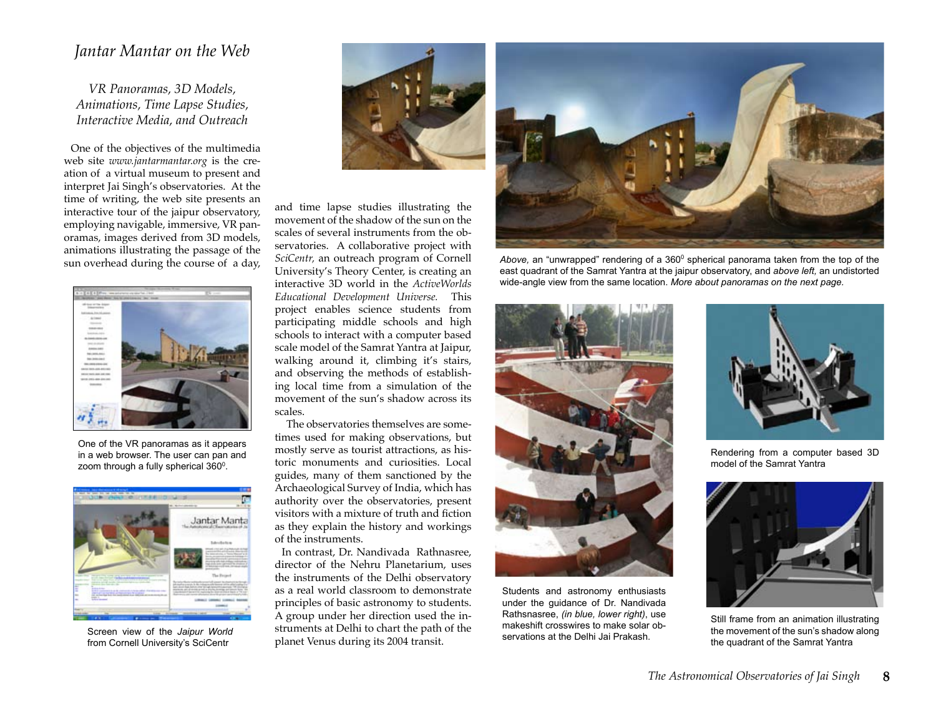#### *Jantar Mantar on the Web*

*VR Panoramas, 3D Models, Animations, Time Lapse Studies, Interactive Media, and Outreach*

One of the objectives of the multimedia web site *www.jantarmantar.org* is the creation of a virtual museum to present and interpret Jai Singh's observatories. At the time of writing, the web site presents an interactive tour of the jaipur observatory, employing navigable, immersive, VR panoramas, images derived from 3D models, animations illustrating the passage of the sun overhead during the course of a day,



One of the VR panoramas as it appears in a web browser. The user can pan and zoom through a fully spherical  $360^{\circ}$ .



from Cornell University's SciCentr



and time lapse studies illustrating the movement of the shadow of the sun on the scales of several instruments from the observatories. A collaborative project with *SciCentr,* an outreach program of Cornell University's Theory Center, is creating an interactive 3D world in the *ActiveWorlds Educational Development Universe.* This project enables science students from participating middle schools and high schools to interact with a computer based scale model of the Samrat Yantra at Jaipur, walking around it, climbing it's stairs, and observing the methods of establishing local time from a simulation of the movement of the sun's shadow across its scales.

 The observatories themselves are sometimes used for making observations, but mostly serve as tourist attractions, as historic monuments and curiosities. Local guides, many of them sanctioned by the Archaeological Survey of India, which has authority over the observatories, present visitors with a mixture of truth and fiction as they explain the history and workings of the instruments.

In contrast, Dr. Nandivada Rathnasree, director of the Nehru Planetarium, uses the instruments of the Delhi observatory as a real world classroom to demonstrate principles of basic astronomy to students. A group under her direction used the instruments at Delhi to chart the path of the planet Venus during its 2004 transit. Screen view of the *Jaipur World* struments at Delhi to chart the path of the *Indications* at the Delhi Jai Prakash.



Above, an "unwrapped" rendering of a 360<sup>0</sup> spherical panorama taken from the top of the east quadrant of the Samrat Yantra at the jaipur observatory, and *above left,* an undistorted wide-angle view from the same location. *More about panoramas on the next page.*



Students and astronomy enthusiasts under the guidance of Dr. Nandivada Rathsnasree, *(in blue, lower right)*, use makeshift crosswires to make solar ob-



Rendering from a computer based 3D model of the Samrat Yantra



Still frame from an animation illustrating the movement of the sun's shadow along the quadrant of the Samrat Yantra